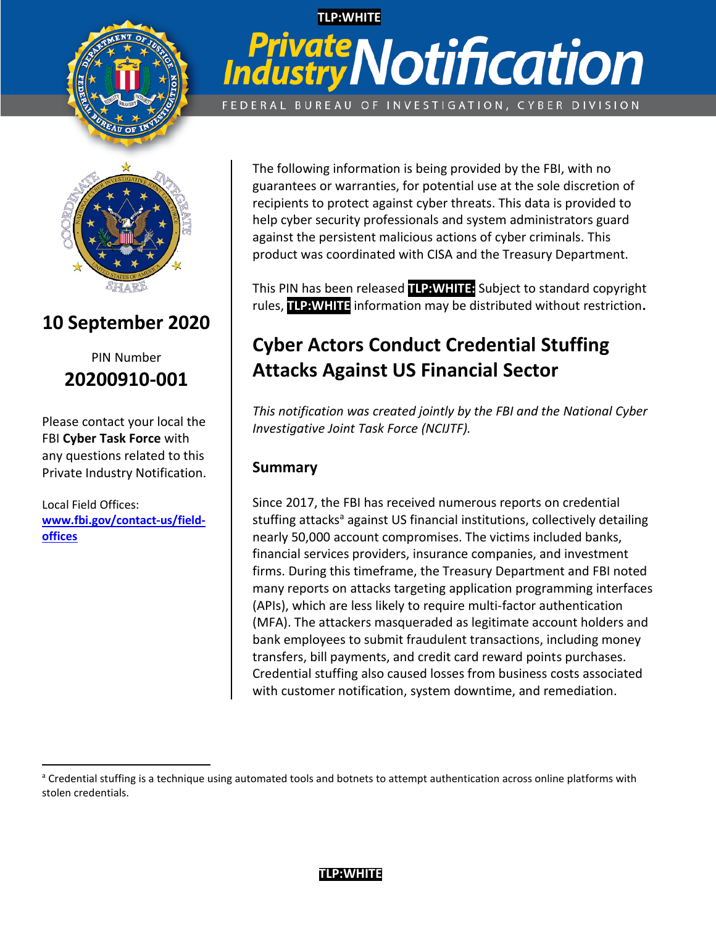

# **TLP:WHITE Private Notification** FEDERAL BUREAU OF INVESTIGATION, CYBER DIVISION



# **10 September 2020**

PIN Number **20200910-001**

Please contact your local the FBI **Cyber Task Force** with any questions related to this Private Industry Notification.

Local Field Offices: **[www.fbi.gov/contact-us/field](http://www.fbi.gov/contact-us/field-offices)[offices](http://www.fbi.gov/contact-us/field-offices)**

l

The following information is being provided by the FBI, with no guarantees or warranties, for potential use at the sole discretion of recipients to protect against cyber threats. This data is provided to help cyber security professionals and system administrators guard against the persistent malicious actions of cyber criminals. This product was coordinated with CISA and the Treasury Department.

This PIN has been released **TLP:WHITE:** Subject to standard copyright rules, **TLP:WHITE** information may be distributed without restriction**.**

# **Cyber Actors Conduct Credential Stuffing Attacks Against US Financial Sector**

*This notification was created jointly by the FBI and the National Cyber Investigative Joint Task Force (NCIJTF).*

# **Summary**

Since 2017, the FBI has received numerous reports on credential stuffing attacks<sup>a</sup> against US financial institutions, collectively detailing nearly 50,000 account compromises. The victims included banks, financial services providers, insurance companies, and investment firms. During this timeframe, the Treasury Department and FBI noted many reports on attacks targeting application programming interfaces (APIs), which are less likely to require multi-factor authentication (MFA). The attackers masqueraded as legitimate account holders and bank employees to submit fraudulent transactions, including money transfers, bill payments, and credit card reward points purchases. Credential stuffing also caused losses from business costs associated with customer notification, system downtime, and remediation.

<sup>&</sup>lt;sup>a</sup> Credential stuffing is a technique using automated tools and botnets to attempt authentication across online platforms with stolen credentials.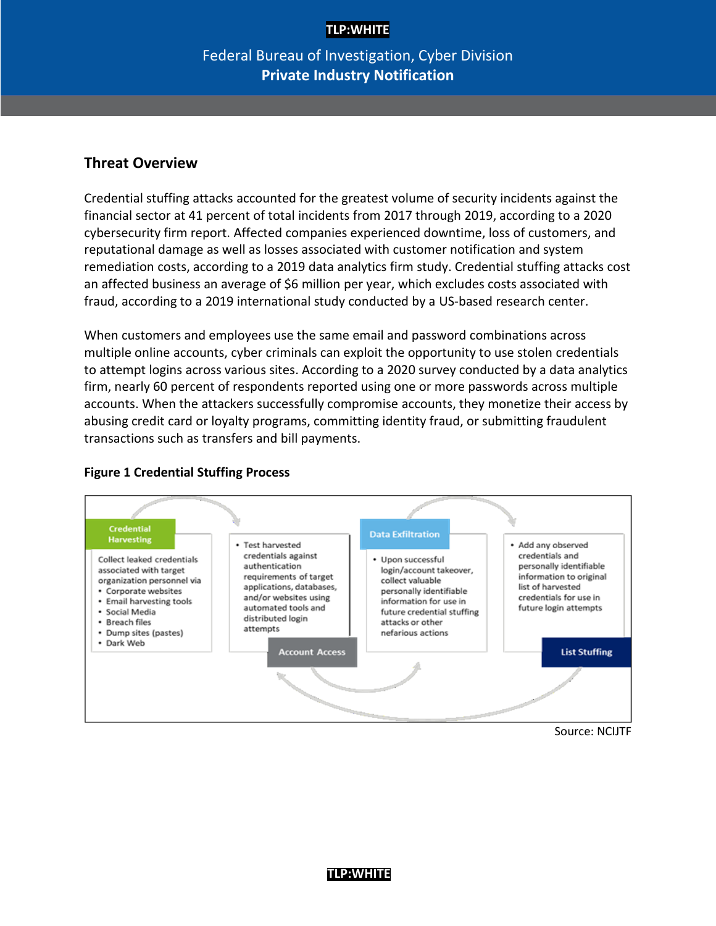# Federal Bureau of Investigation, Cyber Division **Private Industry Notification**

#### **Threat Overview**

Credential stuffing attacks accounted for the greatest volume of security incidents against the financial sector at 41 percent of total incidents from 2017 through 2019, according to a 2020 cybersecurity firm report. Affected companies experienced downtime, loss of customers, and reputational damage as well as losses associated with customer notification and system remediation costs, according to a 2019 data analytics firm study. Credential stuffing attacks cost an affected business an average of \$6 million per year, which excludes costs associated with fraud, according to a 2019 international study conducted by a US-based research center.

When customers and employees use the same email and password combinations across multiple online accounts, cyber criminals can exploit the opportunity to use stolen credentials to attempt logins across various sites. According to a 2020 survey conducted by a data analytics firm, nearly 60 percent of respondents reported using one or more passwords across multiple accounts. When the attackers successfully compromise accounts, they monetize their access by abusing credit card or loyalty programs, committing identity fraud, or submitting fraudulent transactions such as transfers and bill payments.



### **Figure 1 Credential Stuffing Process**

Source: NCIJTF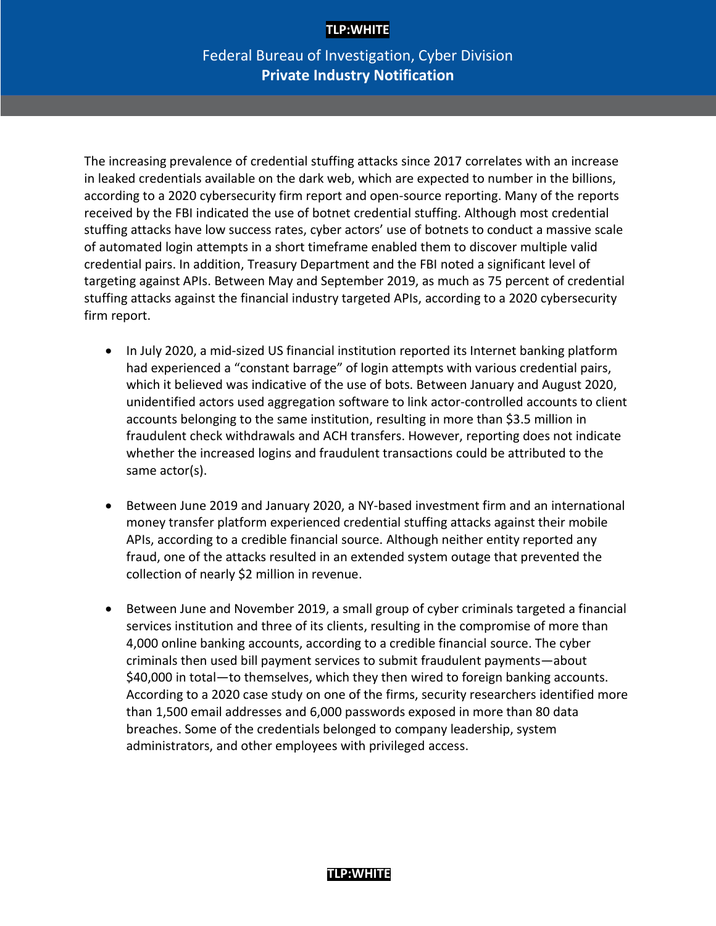# Federal Bureau of Investigation, Cyber Division **Private Industry Notification**

The increasing prevalence of credential stuffing attacks since 2017 correlates with an increase in leaked credentials available on the dark web, which are expected to number in the billions, according to a 2020 cybersecurity firm report and open-source reporting. Many of the reports received by the FBI indicated the use of botnet credential stuffing. Although most credential stuffing attacks have low success rates, cyber actors' use of botnets to conduct a massive scale of automated login attempts in a short timeframe enabled them to discover multiple valid credential pairs. In addition, Treasury Department and the FBI noted a significant level of targeting against APIs. Between May and September 2019, as much as 75 percent of credential stuffing attacks against the financial industry targeted APIs, according to a 2020 cybersecurity firm report.

- In July 2020, a mid-sized US financial institution reported its Internet banking platform had experienced a "constant barrage" of login attempts with various credential pairs, which it believed was indicative of the use of bots. Between January and August 2020, unidentified actors used aggregation software to link actor-controlled accounts to client accounts belonging to the same institution, resulting in more than \$3.5 million in fraudulent check withdrawals and ACH transfers. However, reporting does not indicate whether the increased logins and fraudulent transactions could be attributed to the same actor(s).
- Between June 2019 and January 2020, a NY-based investment firm and an international money transfer platform experienced credential stuffing attacks against their mobile APIs, according to a credible financial source. Although neither entity reported any fraud, one of the attacks resulted in an extended system outage that prevented the collection of nearly \$2 million in revenue.
- Between June and November 2019, a small group of cyber criminals targeted a financial services institution and three of its clients, resulting in the compromise of more than 4,000 online banking accounts, according to a credible financial source. The cyber criminals then used bill payment services to submit fraudulent payments—about \$40,000 in total—to themselves, which they then wired to foreign banking accounts. According to a 2020 case study on one of the firms, security researchers identified more than 1,500 email addresses and 6,000 passwords exposed in more than 80 data breaches. Some of the credentials belonged to company leadership, system administrators, and other employees with privileged access.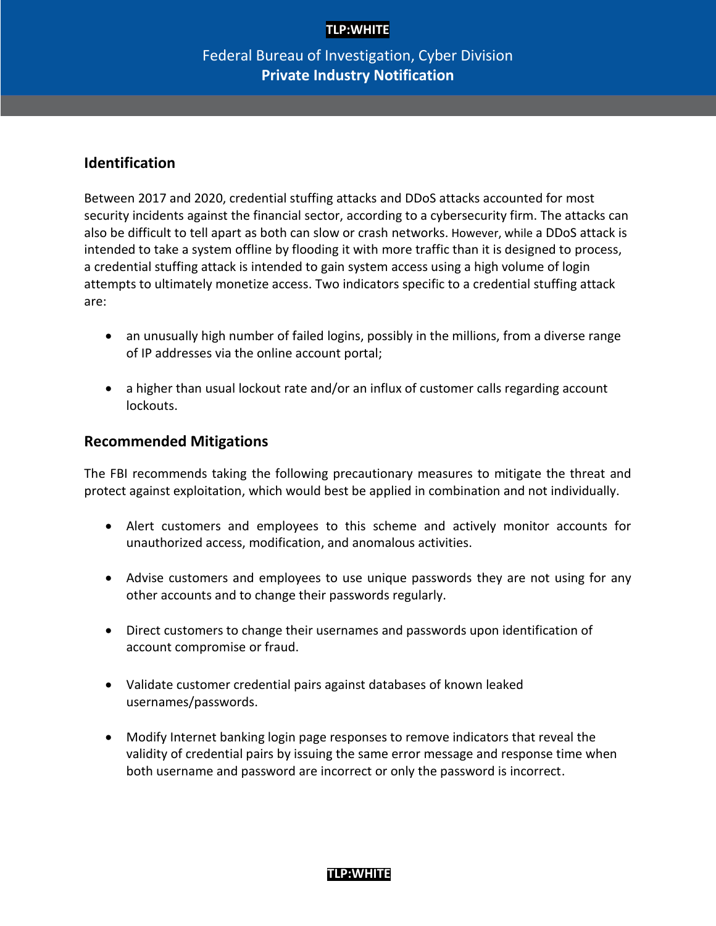# Federal Bureau of Investigation, Cyber Division **Private Industry Notification**

# **Identification**

Between 2017 and 2020, credential stuffing attacks and DDoS attacks accounted for most security incidents against the financial sector, according to a cybersecurity firm. The attacks can also be difficult to tell apart as both can slow or crash networks. However, while a DDoS attack is intended to take a system offline by flooding it with more traffic than it is designed to process, a credential stuffing attack is intended to gain system access using a high volume of login attempts to ultimately monetize access. Two indicators specific to a credential stuffing attack are:

- an unusually high number of failed logins, possibly in the millions, from a diverse range of IP addresses via the online account portal;
- a higher than usual lockout rate and/or an influx of customer calls regarding account lockouts.

#### **Recommended Mitigations**

The FBI recommends taking the following precautionary measures to mitigate the threat and protect against exploitation, which would best be applied in combination and not individually.

- Alert customers and employees to this scheme and actively monitor accounts for unauthorized access, modification, and anomalous activities.
- Advise customers and employees to use unique passwords they are not using for any other accounts and to change their passwords regularly.
- Direct customers to change their usernames and passwords upon identification of account compromise or fraud.
- Validate customer credential pairs against databases of known leaked usernames/passwords.
- Modify Internet banking login page responses to remove indicators that reveal the validity of credential pairs by issuing the same error message and response time when both username and password are incorrect or only the password is incorrect.